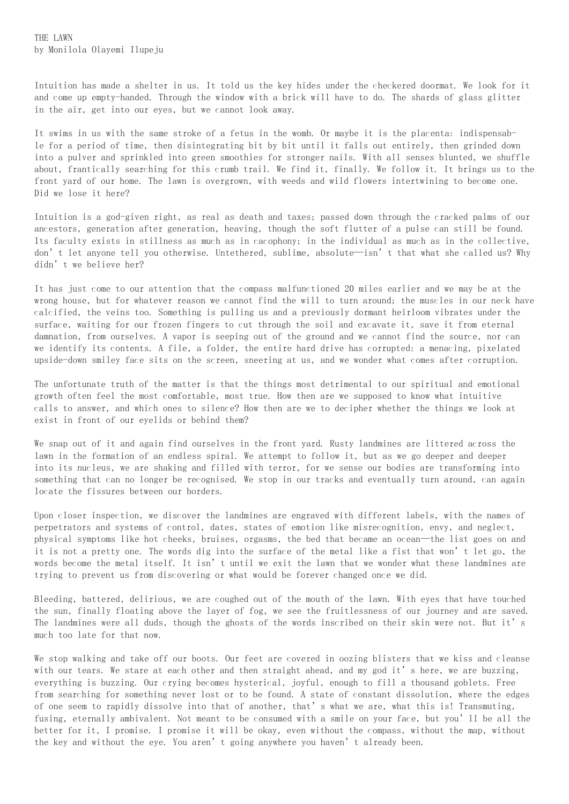Intuition has made a shelter in us. It told us the key hides under the checkered doormat. We look for it and come up empty-handed. Through the window with a brick will have to do. The shards of glass glitter in the air, get into our eyes, but we cannot look away.

It swims in us with the same stroke of a fetus in the womb. Or maybe it is the placenta: indispensable for a period of time, then disintegrating bit by bit until it falls out entirely, then grinded down into a pulver and sprinkled into green smoothies for stronger nails. With all senses blunted, we shuffle about, frantically searching for this crumb trail. We find it, finally. We follow it. It brings us to the front yard of our home. The lawn is overgrown, with weeds and wild flowers intertwining to become one. Did we lose it here?

Intuition is a god-given right, as real as death and taxes; passed down through the cracked palms of our ancestors, generation after generation, heaving, though the soft flutter of a pulse can still be found. Its faculty exists in stillness as much as in cacophony; in the individual as much as in the collective, don't let anyone tell you otherwise. Untethered, sublime, absolute—isn't that what she called us? Why didn't we believe her?

It has just come to our attention that the compass malfunctioned 20 miles earlier and we may be at the wrong house, but for whatever reason we cannot find the will to turn around; the muscles in our neck have calcified, the veins too. Something is pulling us and a previously dormant heirloom vibrates under the surface, waiting for our frozen fingers to cut through the soil and excavate it, save it from eternal damnation, from ourselves. A vapor is seeping out of the ground and we cannot find the source, nor can we identify its contents. A file, a folder, the entire hard drive has corrupted: a menacing, pixelated upside-down smiley face sits on the screen, sneering at us, and we wonder what comes after corruption.

The unfortunate truth of the matter is that the things most detrimental to our spiritual and emotional growth often feel the most comfortable, most true. How then are we supposed to know what intuitive calls to answer, and which ones to silence? How then are we to decipher whether the things we look at exist in front of our eyelids or behind them?

We snap out of it and again find ourselves in the front yard. Rusty landmines are littered across the lawn in the formation of an endless spiral. We attempt to follow it, but as we go deeper and deeper into its nucleus, we are shaking and filled with terror, for we sense our bodies are transforming into something that can no longer be recognised. We stop in our tracks and eventually turn around, can again locate the fissures between our borders.

Upon closer inspection, we discover the landmines are engraved with different labels, with the names of perpetrators and systems of control, dates, states of emotion like misrecognition, envy, and neglect, physical symptoms like hot cheeks, bruises, orgasms, the bed that became an ocean—the list goes on and it is not a pretty one. The words dig into the surface of the metal like a fist that won't let go, the words become the metal itself. It isn't until we exit the lawn that we wonder what these landmines are trying to prevent us from discovering or what would be forever changed once we did.

Bleeding, battered, delirious, we are coughed out of the mouth of the lawn. With eyes that have touched the sun, finally floating above the layer of fog, we see the fruitlessness of our journey and are saved. The landmines were all duds, though the ghosts of the words inscribed on their skin were not. But it's much too late for that now.

We stop walking and take off our boots. Our feet are covered in oozing blisters that we kiss and cleanse with our tears. We stare at each other and then straight ahead, and my god it's here, we are buzzing, everything is buzzing. Our crying becomes hysterical, joyful, enough to fill a thousand goblets. Free from searching for something never lost or to be found. A state of constant dissolution, where the edges of one seem to rapidly dissolve into that of another, that's what we are, what this is! Transmuting, fusing, eternally ambivalent. Not meant to be consumed with a smile on your face, but you'll be all the better for it, I promise. I promise it will be okay, even without the compass, without the map, without the key and without the eye. You aren't going anywhere you haven't already been.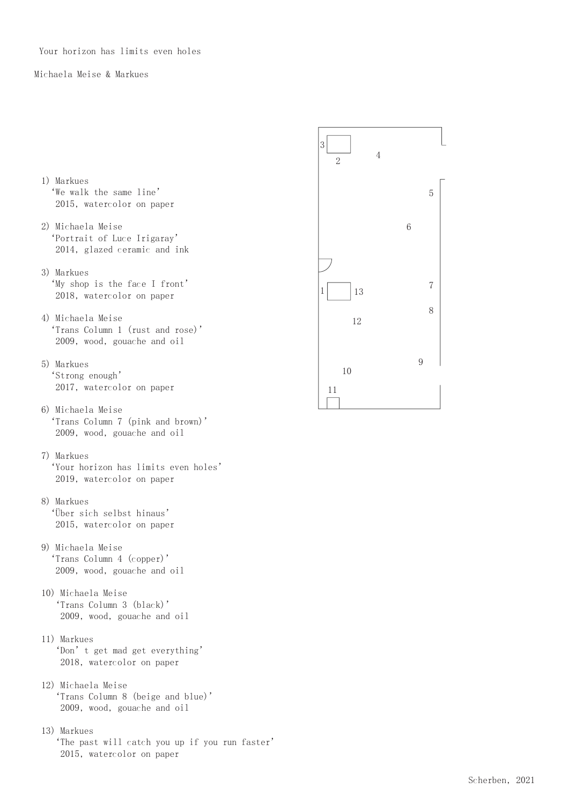Your horizon has limits even holes

## Michaela Meise & Markues

- 1) Markues 'We walk the same line' 2015, watercolor on paper
- 2) Michaela Meise 'Portrait of Luce Irigaray' 2014, glazed ceramic and ink
- 3) Markues 'My shop is the face I front' 2018, watercolor on paper
- 4) Michaela Meise 'Trans Column 1 (rust and rose)' 2009, wood, gouache and oil
- 5) Markues 'Strong enough' 2017, watercolor on paper
- 6) Michaela Meise 'Trans Column 7 (pink and brown)' 2009, wood, gouache and oil
- 7) Markues
- 'Your horizon has limits even holes' 2019, watercolor on paper
- 8) Markues 'Über sich selbst hinaus' 2015, watercolor on paper
- 9) Michaela Meise 'Trans Column 4 (copper)' 2009, wood, gouache and oil
- 10) Michaela Meise 'Trans Column 3 (black)' 2009, wood, gouache and oil
- 11) Markues 'Don't get mad get everything' 2018, watercolor on paper
- 12) Michaela Meise 'Trans Column 8 (beige and blue)' 2009, wood, gouache and oil
- 13) Markues 'The past will catch you up if you run faster' 2015, watercolor on paper